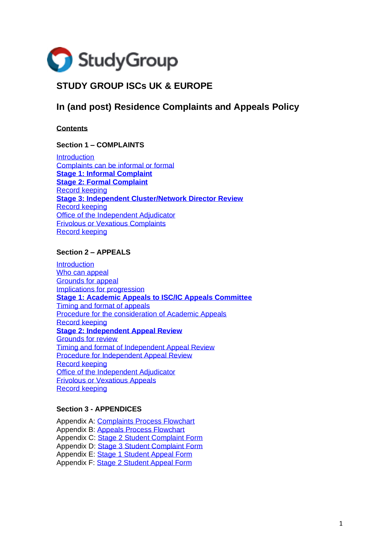

# **STUDY GROUP ISCs UK & EUROPE**

# **In (and post) Residence Complaints and Appeals Policy**

**Contents**

#### **Section 1 – COMPLAINTS**

**[Introduction](#page-1-0)** [Complaints can be informal or formal](#page-1-1) **[Stage 1: Informal Complaint](#page-2-0) [Stage 2: Formal Complaint](#page-2-1)** [Record keeping](#page-4-0) **[Stage 3: Independent Cluster/Network Director Review](#page-4-1)** [Record keeping](#page-6-0) [Office of the Independent Adjudicator](#page-6-1) [Frivolous or Vexatious Complaints](#page-6-2) [Record keeping](#page-7-0)

## **Section 2 – APPEALS**

**[Introduction](#page-8-0)** [Who can appeal](#page-8-1) [Grounds for](#page-8-2) appeal [Implications for progression](#page-9-0) **[Stage 1: Academic Appeals to ISC/IC Appeals Committee](#page-9-1)** [Timing and format of appeals](#page-9-2) [Procedure for the consideration of Academic Appeals](#page-10-0) [Record keeping](#page-11-0) **[Stage 2: Independent Appeal Review](#page-12-0)** [Grounds for review](#page-12-1) [Timing and format of Independent Appeal Review](#page-12-2) [Procedure for Independent Appeal Review](#page-12-3) [Record keeping](#page-13-0) [Office of the Independent Adjudicator](#page-14-0) [Frivolous or Vexatious Appeals](#page-14-1) [Record keeping](#page-15-0)

#### **Section 3 - APPENDICES**

Appendix A: [Complaints Process Flowchart](#page-15-1) Appendix B: [Appeals Process Flowchart](#page-17-0) Appendix C: [Stage 2 Student Complaint Form](#page-18-0) Appendix D: [Stage 3 Student Complaint Form](#page-21-0) Appendix E: [Stage 1 Student Appeal Form](#page-24-0) Appendix F: [Stage 2 Student Appeal Form](#page-26-0)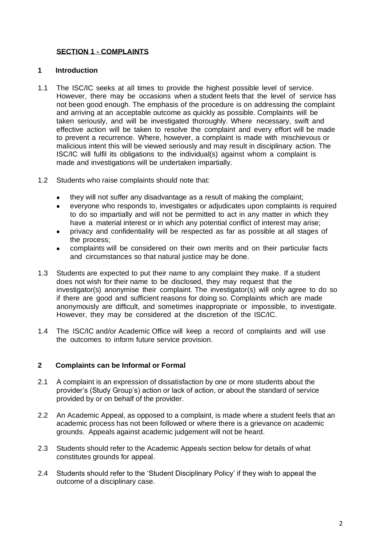# **SECTION 1 - COMPLAINTS**

#### <span id="page-1-0"></span>**1 Introduction**

- 1.1 The ISC/IC seeks at all times to provide the highest possible level of service. However, there may be occasions when a student feels that the level of service has not been good enough. The emphasis of the procedure is on addressing the complaint and arriving at an acceptable outcome as quickly as possible. Complaints will be taken seriously, and will be investigated thoroughly. Where necessary, swift and effective action will be taken to resolve the complaint and every effort will be made to prevent a recurrence. Where, however, a complaint is made with mischievous or malicious intent this will be viewed seriously and may result in disciplinary action. The ISC/IC will fulfil its obligations to the individual(s) against whom a complaint is made and investigations will be undertaken impartially.
- 1.2 Students who raise complaints should note that:
	- they will not suffer any disadvantage as a result of making the complaint;
	- everyone who responds to, investigates or adjudicates upon complaints is required to do so impartially and will not be permitted to act in any matter in which they have a material interest or in which any potential conflict of interest may arise;
	- privacy and confidentiality will be respected as far as possible at all stages of the process;
	- complaints will be considered on their own merits and on their particular facts and circumstances so that natural justice may be done.
- 1.3 Students are expected to put their name to any complaint they make. If a student does not wish for their name to be disclosed, they may request that the investigator(s) anonymise their complaint. The investigator(s) will only agree to do so if there are good and sufficient reasons for doing so. Complaints which are made anonymously are difficult, and sometimes inappropriate or impossible, to investigate. However, they may be considered at the discretion of the ISC/IC.
- 1.4 The ISC/IC and/or Academic Office will keep a record of complaints and will use the outcomes to inform future service provision.

#### <span id="page-1-1"></span>**2 Complaints can be Informal or Formal**

- 2.1 A complaint is an expression of dissatisfaction by one or more students about the provider's (Study Group's) action or lack of action, or about the standard of service provided by or on behalf of the provider.
- 2.2 An Academic Appeal, as opposed to a complaint, is made where a student feels that an academic process has not been followed or where there is a grievance on academic grounds. Appeals against academic judgement will not be heard.
- 2.3 Students should refer to the Academic Appeals section below for details of what constitutes grounds for appeal.
- 2.4 Students should refer to the 'Student Disciplinary Policy' if they wish to appeal the outcome of a disciplinary case.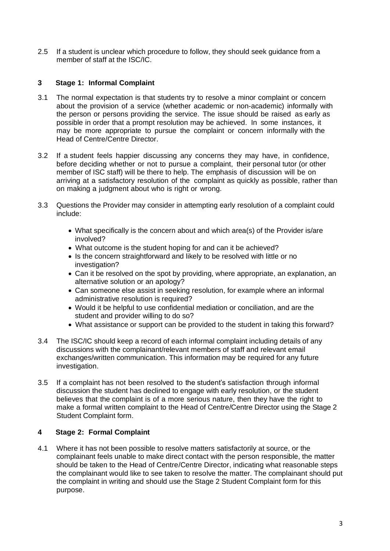2.5 If a student is unclear which procedure to follow, they should seek guidance from a member of staff at the ISC/IC.

# <span id="page-2-0"></span>**3 Stage 1: Informal Complaint**

- 3.1 The normal expectation is that students try to resolve a minor complaint or concern about the provision of a service (whether academic or non-academic) informally with the person or persons providing the service. The issue should be raised as early as possible in order that a prompt resolution may be achieved. In some instances, it may be more appropriate to pursue the complaint or concern informally with the Head of Centre/Centre Director.
- 3.2 If a student feels happier discussing any concerns they may have, in confidence, before deciding whether or not to pursue a complaint, their personal tutor (or other member of ISC staff) will be there to help. The emphasis of discussion will be on arriving at a satisfactory resolution of the complaint as quickly as possible, rather than on making a judgment about who is right or wrong.
- 3.3 Questions the Provider may consider in attempting early resolution of a complaint could include:
	- What specifically is the concern about and which area(s) of the Provider is/are involved?
	- What outcome is the student hoping for and can it be achieved?
	- Is the concern straightforward and likely to be resolved with little or no investigation?
	- Can it be resolved on the spot by providing, where appropriate, an explanation, an alternative solution or an apology?
	- Can someone else assist in seeking resolution, for example where an informal administrative resolution is required?
	- Would it be helpful to use confidential mediation or conciliation, and are the student and provider willing to do so?
	- What assistance or support can be provided to the student in taking this forward?
- 3.4 The ISC/IC should keep a record of each informal complaint including details of any discussions with the complainant/relevant members of staff and relevant email exchanges/written communication. This information may be required for any future investigation.
- 3.5 If a complaint has not been resolved to the student's satisfaction through informal discussion the student has declined to engage with early resolution, or the student believes that the complaint is of a more serious nature, then they have the right to make a formal written complaint to the Head of Centre/Centre Director using the Stage 2 Student Complaint form.

# <span id="page-2-1"></span>**4 Stage 2: Formal Complaint**

4.1 Where it has not been possible to resolve matters satisfactorily at source, or the complainant feels unable to make direct contact with the person responsible, the matter should be taken to the Head of Centre/Centre Director, indicating what reasonable steps the complainant would like to see taken to resolve the matter. The complainant should put the complaint in writing and should use the Stage 2 Student Complaint form for this purpose.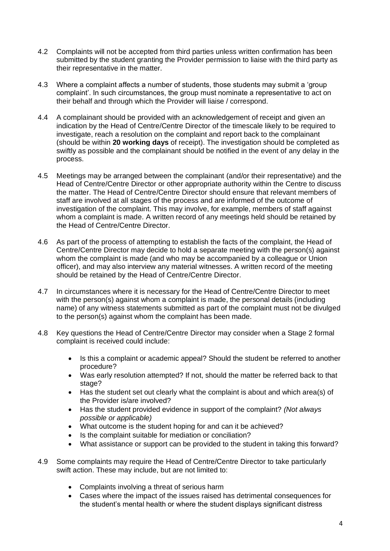- 4.2 Complaints will not be accepted from third parties unless written confirmation has been submitted by the student granting the Provider permission to liaise with the third party as their representative in the matter.
- 4.3 Where a complaint affects a number of students, those students may submit a 'group complaint'. In such circumstances, the group must nominate a representative to act on their behalf and through which the Provider will liaise / correspond.
- 4.4 A complainant should be provided with an acknowledgement of receipt and given an indication by the Head of Centre/Centre Director of the timescale likely to be required to investigate, reach a resolution on the complaint and report back to the complainant (should be within **20 working days** of receipt). The investigation should be completed as swiftly as possible and the complainant should be notified in the event of any delay in the process.
- 4.5 Meetings may be arranged between the complainant (and/or their representative) and the Head of Centre/Centre Director or other appropriate authority within the Centre to discuss the matter. The Head of Centre/Centre Director should ensure that relevant members of staff are involved at all stages of the process and are informed of the outcome of investigation of the complaint. This may involve, for example, members of staff against whom a complaint is made. A written record of any meetings held should be retained by the Head of Centre/Centre Director.
- 4.6 As part of the process of attempting to establish the facts of the complaint, the Head of Centre/Centre Director may decide to hold a separate meeting with the person(s) against whom the complaint is made (and who may be accompanied by a colleague or Union officer), and may also interview any material witnesses. A written record of the meeting should be retained by the Head of Centre/Centre Director.
- 4.7 In circumstances where it is necessary for the Head of Centre/Centre Director to meet with the person(s) against whom a complaint is made, the personal details (including name) of any witness statements submitted as part of the complaint must not be divulged to the person(s) against whom the complaint has been made.
- 4.8 Key questions the Head of Centre/Centre Director may consider when a Stage 2 formal complaint is received could include:
	- Is this a complaint or academic appeal? Should the student be referred to another procedure?
	- Was early resolution attempted? If not, should the matter be referred back to that stage?
	- Has the student set out clearly what the complaint is about and which area(s) of the Provider is/are involved?
	- Has the student provided evidence in support of the complaint? *(Not always possible or applicable)*
	- What outcome is the student hoping for and can it be achieved?
	- Is the complaint suitable for mediation or conciliation?
	- What assistance or support can be provided to the student in taking this forward?
- 4.9 Some complaints may require the Head of Centre/Centre Director to take particularly swift action. These may include, but are not limited to:
	- Complaints involving a threat of serious harm
	- Cases where the impact of the issues raised has detrimental consequences for the student's mental health or where the student displays significant distress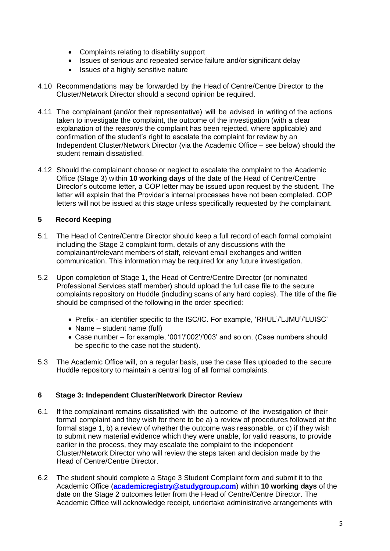- Complaints relating to disability support
- Issues of serious and repeated service failure and/or significant delay
- Issues of a highly sensitive nature
- 4.10 Recommendations may be forwarded by the Head of Centre/Centre Director to the Cluster/Network Director should a second opinion be required.
- 4.11 The complainant (and/or their representative) will be advised in writing of the actions taken to investigate the complaint, the outcome of the investigation (with a clear explanation of the reason/s the complaint has been rejected, where applicable) and confirmation of the student's right to escalate the complaint for review by an Independent Cluster/Network Director (via the Academic Office – see below) should the student remain dissatisfied.
- 4.12 Should the complainant choose or neglect to escalate the complaint to the Academic Office (Stage 3) within **10 working days** of the date of the Head of Centre/Centre Director's outcome letter, a COP letter may be issued upon request by the student. The letter will explain that the Provider's internal processes have not been completed. COP letters will not be issued at this stage unless specifically requested by the complainant.

# <span id="page-4-0"></span>**5 Record Keeping**

- 5.1 The Head of Centre/Centre Director should keep a full record of each formal complaint including the Stage 2 complaint form, details of any discussions with the complainant/relevant members of staff, relevant email exchanges and written communication. This information may be required for any future investigation.
- 5.2 Upon completion of Stage 1, the Head of Centre/Centre Director (or nominated Professional Services staff member) should upload the full case file to the secure complaints repository on Huddle (including scans of any hard copies). The title of the file should be comprised of the following in the order specified:
	- Prefix an identifier specific to the ISC/IC. For example, 'RHUL'/'LJMU'/'LUISC'
	- Name student name (full)
	- Case number for example, '001'/'002'/'003' and so on. (Case numbers should be specific to the case not the student).
- 5.3 The Academic Office will, on a regular basis, use the case files uploaded to the secure Huddle repository to maintain a central log of all formal complaints.

#### <span id="page-4-1"></span>**6 Stage 3: Independent Cluster/Network Director Review**

- 6.1 If the complainant remains dissatisfied with the outcome of the investigation of their formal complaint and they wish for there to be a) a review of procedures followed at the formal stage 1, b) a review of whether the outcome was reasonable, or c) if they wish to submit new material evidence which they were unable, for valid reasons, to provide earlier in the process, they may escalate the complaint to the independent Cluster/Network Director who will review the steps taken and decision made by the Head of Centre/Centre Director.
- 6.2 The student should complete a Stage 3 Student Complaint form and submit it to the Academic Office (**[academicregistry@studygroup.com](mailto:academicregistry@studygroup.com)**) within **10 working days** of the date on the Stage 2 outcomes letter from the Head of Centre/Centre Director. The Academic Office will acknowledge receipt, undertake administrative arrangements with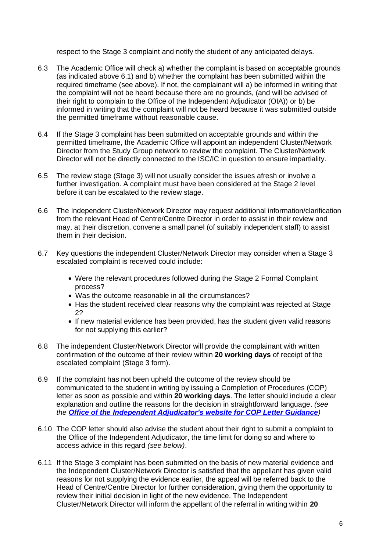respect to the Stage 3 complaint and notify the student of any anticipated delays.

- 6.3 The Academic Office will check a) whether the complaint is based on acceptable grounds (as indicated above 6.1) and b) whether the complaint has been submitted within the required timeframe (see above). If not, the complainant will a) be informed in writing that the complaint will not be heard because there are no grounds, (and will be advised of their right to complain to the Office of the Independent Adjudicator (OIA)) or b) be informed in writing that the complaint will not be heard because it was submitted outside the permitted timeframe without reasonable cause.
- 6.4 If the Stage 3 complaint has been submitted on acceptable grounds and within the permitted timeframe, the Academic Office will appoint an independent Cluster/Network Director from the Study Group network to review the complaint. The Cluster/Network Director will not be directly connected to the ISC/IC in question to ensure impartiality.
- 6.5 The review stage (Stage 3) will not usually consider the issues afresh or involve a further investigation. A complaint must have been considered at the Stage 2 level before it can be escalated to the review stage.
- 6.6 The Independent Cluster/Network Director may request additional information/clarification from the relevant Head of Centre/Centre Director in order to assist in their review and may, at their discretion, convene a small panel (of suitably independent staff) to assist them in their decision.
- 6.7 Key questions the independent Cluster/Network Director may consider when a Stage 3 escalated complaint is received could include:
	- Were the relevant procedures followed during the Stage 2 Formal Complaint process?
	- Was the outcome reasonable in all the circumstances?
	- Has the student received clear reasons why the complaint was rejected at Stage 2?
	- If new material evidence has been provided, has the student given valid reasons for not supplying this earlier?
- 6.8 The independent Cluster/Network Director will provide the complainant with written confirmation of the outcome of their review within **20 working days** of receipt of the escalated complaint (Stage 3 form).
- 6.9 If the complaint has not been upheld the outcome of the review should be communicated to the student in writing by issuing a Completion of Procedures (COP) letter as soon as possible and within **20 working days**. The letter should include a clear explanation and outline the reasons for the decision in straightforward language. *(see the Office of the [Independent Adjudicator's website for COP Letter Guidance](https://www.oiahe.org.uk/providers/completion-of-procedures-letters/))*
- 6.10 The COP letter should also advise the student about their right to submit a complaint to the Office of the Independent Adjudicator, the time limit for doing so and where to access advice in this regard *(see below)*.
- 6.11 If the Stage 3 complaint has been submitted on the basis of new material evidence and the Independent Cluster/Network Director is satisfied that the appellant has given valid reasons for not supplying the evidence earlier, the appeal will be referred back to the Head of Centre/Centre Director for further consideration, giving them the opportunity to review their initial decision in light of the new evidence. The Independent Cluster/Network Director will inform the appellant of the referral in writing within **20**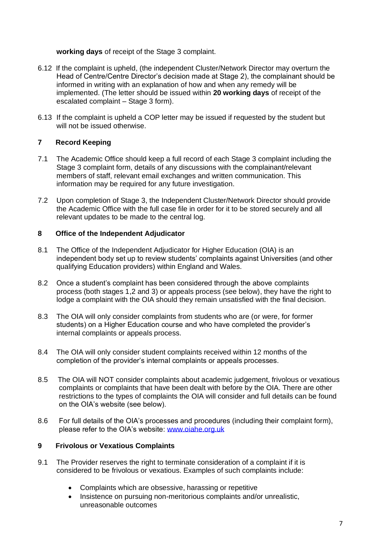#### **working days** of receipt of the Stage 3 complaint.

- 6.12 If the complaint is upheld, (the independent Cluster/Network Director may overturn the Head of Centre/Centre Director's decision made at Stage 2), the complainant should be informed in writing with an explanation of how and when any remedy will be implemented. (The letter should be issued within **20 working days** of receipt of the escalated complaint – Stage 3 form).
- 6.13 If the complaint is upheld a COP letter may be issued if requested by the student but will not be issued otherwise.

#### <span id="page-6-0"></span>**7 Record Keeping**

- 7.1 The Academic Office should keep a full record of each Stage 3 complaint including the Stage 3 complaint form, details of any discussions with the complainant/relevant members of staff, relevant email exchanges and written communication. This information may be required for any future investigation.
- 7.2 Upon completion of Stage 3, the Independent Cluster/Network Director should provide the Academic Office with the full case file in order for it to be stored securely and all relevant updates to be made to the central log.

#### <span id="page-6-1"></span>**8 Office of the Independent Adjudicator**

- 8.1 The Office of the Independent Adjudicator for Higher Education (OIA) is an independent body set up to review students' complaints against Universities (and other qualifying Education providers) within England and Wales.
- 8.2 Once a student's complaint has been considered through the above complaints process (both stages 1,2 and 3) or appeals process (see below), they have the right to lodge a complaint with the OIA should they remain unsatisfied with the final decision.
- 8.3 The OIA will only consider complaints from students who are (or were, for former students) on a Higher Education course and who have completed the provider's internal complaints or appeals process.
- 8.4 The OIA will only consider student complaints received within 12 months of the completion of the provider's internal complaints or appeals processes.
- 8.5 The OIA will NOT consider complaints about academic judgement, frivolous or vexatious complaints or complaints that have been dealt with before by the OIA. There are other restrictions to the types of complaints the OIA will consider and full details can be found on the OIA's website (see below).
- 8.6 For full details of the OIA's processes and procedures (including their complaint form), please refer to the OIA's website: [www.oiahe.org.uk](http://www.oiahe.org.uk/)

# <span id="page-6-2"></span>**9 Frivolous or Vexatious Complaints**

- 9.1 The Provider reserves the right to terminate consideration of a complaint if it is considered to be frivolous or vexatious. Examples of such complaints include:
	- Complaints which are obsessive, harassing or repetitive
	- Insistence on pursuing non-meritorious complaints and/or unrealistic, unreasonable outcomes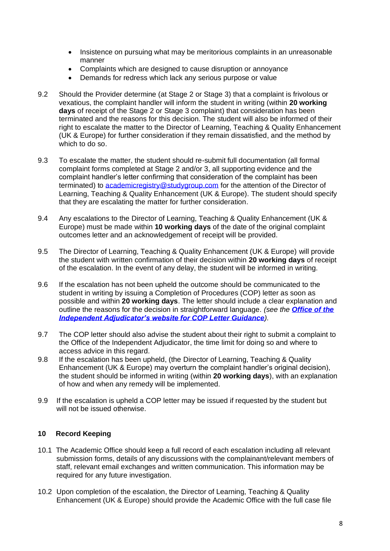- Insistence on pursuing what may be meritorious complaints in an unreasonable manner
- Complaints which are designed to cause disruption or annoyance
- Demands for redress which lack any serious purpose or value
- 9.2 Should the Provider determine (at Stage 2 or Stage 3) that a complaint is frivolous or vexatious, the complaint handler will inform the student in writing (within **20 working days** of receipt of the Stage 2 or Stage 3 complaint) that consideration has been terminated and the reasons for this decision. The student will also be informed of their right to escalate the matter to the Director of Learning, Teaching & Quality Enhancement (UK & Europe) for further consideration if they remain dissatisfied, and the method by which to do so.
- 9.3 To escalate the matter, the student should re-submit full documentation (all formal complaint forms completed at Stage 2 and/or 3, all supporting evidence and the complaint handler's letter confirming that consideration of the complaint has been terminated) to [academicregistry@studygroup.com](mailto:academicregistry@studygroup.com) for the attention of the Director of Learning, Teaching & Quality Enhancement (UK & Europe). The student should specify that they are escalating the matter for further consideration.
- 9.4 Any escalations to the Director of Learning, Teaching & Quality Enhancement (UK & Europe) must be made within **10 working days** of the date of the original complaint outcomes letter and an acknowledgement of receipt will be provided.
- 9.5 The Director of Learning, Teaching & Quality Enhancement (UK & Europe) will provide the student with written confirmation of their decision within **20 working days** of receipt of the escalation. In the event of any delay, the student will be informed in writing.
- 9.6 If the escalation has not been upheld the outcome should be communicated to the student in writing by issuing a Completion of Procedures (COP) letter as soon as possible and within **20 working days**. The letter should include a clear explanation and outline the reasons for the decision in straightforward language. *(see the [Office of the](https://www.oiahe.org.uk/providers/completion-of-procedures-letters/)  [Independent Adjudicator's website for COP Letter Guidance](https://www.oiahe.org.uk/providers/completion-of-procedures-letters/)).*
- 9.7 The COP letter should also advise the student about their right to submit a complaint to the Office of the Independent Adjudicator, the time limit for doing so and where to access advice in this regard.
- 9.8 If the escalation has been upheld, (the Director of Learning, Teaching & Quality Enhancement (UK & Europe) may overturn the complaint handler's original decision), the student should be informed in writing (within **20 working days**), with an explanation of how and when any remedy will be implemented.
- 9.9 If the escalation is upheld a COP letter may be issued if requested by the student but will not be issued otherwise.

# <span id="page-7-0"></span>**10 Record Keeping**

- 10.1 The Academic Office should keep a full record of each escalation including all relevant submission forms, details of any discussions with the complainant/relevant members of staff, relevant email exchanges and written communication. This information may be required for any future investigation.
- 10.2 Upon completion of the escalation, the Director of Learning, Teaching & Quality Enhancement (UK & Europe) should provide the Academic Office with the full case file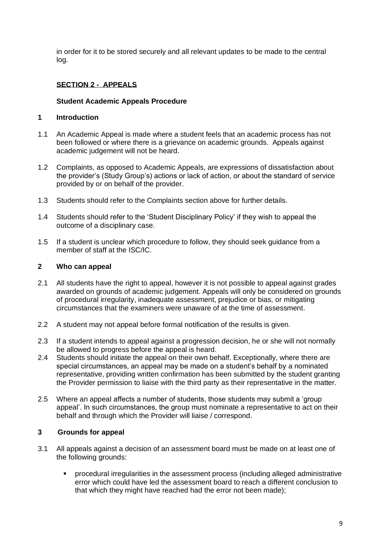in order for it to be stored securely and all relevant updates to be made to the central log.

# **SECTION 2 - APPEALS**

#### **Student Academic Appeals Procedure**

#### <span id="page-8-0"></span>**1 Introduction**

- 1.1 An Academic Appeal is made where a student feels that an academic process has not been followed or where there is a grievance on academic grounds. Appeals against academic judgement will not be heard.
- 1.2 Complaints, as opposed to Academic Appeals, are expressions of dissatisfaction about the provider's (Study Group's) actions or lack of action, or about the standard of service provided by or on behalf of the provider.
- 1.3 Students should refer to the Complaints section above for further details.
- 1.4 Students should refer to the 'Student Disciplinary Policy' if they wish to appeal the outcome of a disciplinary case.
- 1.5 If a student is unclear which procedure to follow, they should seek guidance from a member of staff at the ISC/IC.

#### <span id="page-8-1"></span>**2 Who can appeal**

- 2.1 All students have the right to appeal, however it is not possible to appeal against grades awarded on grounds of academic judgement. Appeals will only be considered on grounds of procedural irregularity, inadequate assessment, prejudice or bias, or mitigating circumstances that the examiners were unaware of at the time of assessment.
- 2.2 A student may not appeal before formal notification of the results is given.
- 2.3 If a student intends to appeal against a progression decision, he or she will not normally be allowed to progress before the appeal is heard.
- 2.4 Students should initiate the appeal on their own behalf. Exceptionally, where there are special circumstances, an appeal may be made on a student's behalf by a nominated representative, providing written confirmation has been submitted by the student granting the Provider permission to liaise with the third party as their representative in the matter.
- 2.5 Where an appeal affects a number of students, those students may submit a 'group appeal'. In such circumstances, the group must nominate a representative to act on their behalf and through which the Provider will liaise / correspond.

#### <span id="page-8-2"></span>**3 Grounds for appeal**

- 3.1 All appeals against a decision of an assessment board must be made on at least one of the following grounds:
	- procedural irregularities in the assessment process (including alleged administrative error which could have led the assessment board to reach a different conclusion to that which they might have reached had the error not been made);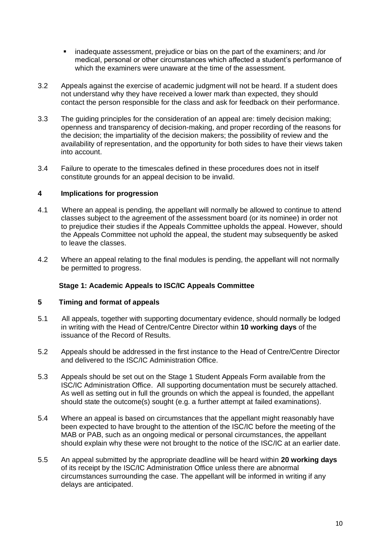- inadequate assessment, prejudice or bias on the part of the examiners; and /or medical, personal or other circumstances which affected a student's performance of which the examiners were unaware at the time of the assessment.
- 3.2 Appeals against the exercise of academic judgment will not be heard. If a student does not understand why they have received a lower mark than expected, they should contact the person responsible for the class and ask for feedback on their performance.
- 3.3 The guiding principles for the consideration of an appeal are: timely decision making; openness and transparency of decision-making, and proper recording of the reasons for the decision; the impartiality of the decision makers; the possibility of review and the availability of representation, and the opportunity for both sides to have their views taken into account.
- 3.4 Failure to operate to the timescales defined in these procedures does not in itself constitute grounds for an appeal decision to be invalid.

#### <span id="page-9-0"></span>**4 Implications for progression**

- 4.1 Where an appeal is pending, the appellant will normally be allowed to continue to attend classes subject to the agreement of the assessment board (or its nominee) in order not to prejudice their studies if the Appeals Committee upholds the appeal. However, should the Appeals Committee not uphold the appeal, the student may subsequently be asked to leave the classes.
- 4.2 Where an appeal relating to the final modules is pending, the appellant will not normally be permitted to progress.

#### <span id="page-9-1"></span>**Stage 1: Academic Appeals to ISC/IC Appeals Committee**

#### <span id="page-9-2"></span>**5 Timing and format of appeals**

- 5.1 All appeals, together with supporting documentary evidence, should normally be lodged in writing with the Head of Centre/Centre Director within **10 working days** of the issuance of the Record of Results.
- 5.2 Appeals should be addressed in the first instance to the Head of Centre/Centre Director and delivered to the ISC/IC Administration Office.
- 5.3 Appeals should be set out on the Stage 1 Student Appeals Form available from the ISC/IC Administration Office. All supporting documentation must be securely attached. As well as setting out in full the grounds on which the appeal is founded, the appellant should state the outcome(s) sought (e.g. a further attempt at failed examinations).
- 5.4 Where an appeal is based on circumstances that the appellant might reasonably have been expected to have brought to the attention of the ISC/IC before the meeting of the MAB or PAB, such as an ongoing medical or personal circumstances, the appellant should explain why these were not brought to the notice of the ISC/IC at an earlier date.
- 5.5 An appeal submitted by the appropriate deadline will be heard within **20 working days** of its receipt by the ISC/IC Administration Office unless there are abnormal circumstances surrounding the case. The appellant will be informed in writing if any delays are anticipated.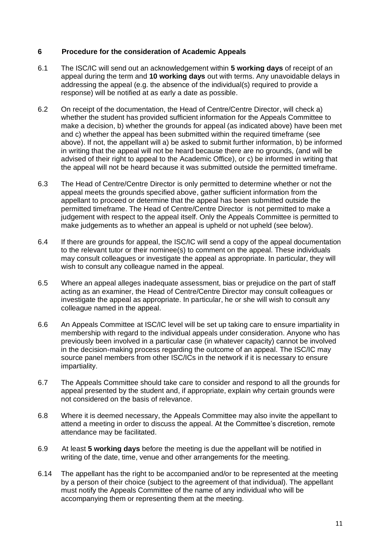#### <span id="page-10-0"></span>**6 Procedure for the consideration of Academic Appeals**

- 6.1 The ISC/IC will send out an acknowledgement within **5 working days** of receipt of an appeal during the term and **10 working days** out with terms. Any unavoidable delays in addressing the appeal (e.g. the absence of the individual(s) required to provide a response) will be notified at as early a date as possible.
- 6.2 On receipt of the documentation, the Head of Centre/Centre Director, will check a) whether the student has provided sufficient information for the Appeals Committee to make a decision, b) whether the grounds for appeal (as indicated above) have been met and c) whether the appeal has been submitted within the required timeframe (see above). If not, the appellant will a) be asked to submit further information, b) be informed in writing that the appeal will not be heard because there are no grounds, (and will be advised of their right to appeal to the Academic Office), or c) be informed in writing that the appeal will not be heard because it was submitted outside the permitted timeframe.
- 6.3 The Head of Centre/Centre Director is only permitted to determine whether or not the appeal meets the grounds specified above, gather sufficient information from the appellant to proceed or determine that the appeal has been submitted outside the permitted timeframe. The Head of Centre/Centre Director is not permitted to make a judgement with respect to the appeal itself. Only the Appeals Committee is permitted to make judgements as to whether an appeal is upheld or not upheld (see below).
- 6.4 If there are grounds for appeal, the ISC/IC will send a copy of the appeal documentation to the relevant tutor or their nominee(s) to comment on the appeal. These individuals may consult colleagues or investigate the appeal as appropriate. In particular, they will wish to consult any colleague named in the appeal.
- 6.5 Where an appeal alleges inadequate assessment, bias or prejudice on the part of staff acting as an examiner, the Head of Centre/Centre Director may consult colleagues or investigate the appeal as appropriate. In particular, he or she will wish to consult any colleague named in the appeal.
- 6.6 An Appeals Committee at ISC/IC level will be set up taking care to ensure impartiality in membership with regard to the individual appeals under consideration. Anyone who has previously been involved in a particular case (in whatever capacity) cannot be involved in the decision-making process regarding the outcome of an appeal. The ISC/IC may source panel members from other ISC/ICs in the network if it is necessary to ensure impartiality.
- 6.7 The Appeals Committee should take care to consider and respond to all the grounds for appeal presented by the student and, if appropriate, explain why certain grounds were not considered on the basis of relevance.
- 6.8 Where it is deemed necessary, the Appeals Committee may also invite the appellant to attend a meeting in order to discuss the appeal. At the Committee's discretion, remote attendance may be facilitated.
- 6.9 At least **5 working days** before the meeting is due the appellant will be notified in writing of the date, time, venue and other arrangements for the meeting.
- 6.14 The appellant has the right to be accompanied and/or to be represented at the meeting by a person of their choice (subject to the agreement of that individual). The appellant must notify the Appeals Committee of the name of any individual who will be accompanying them or representing them at the meeting.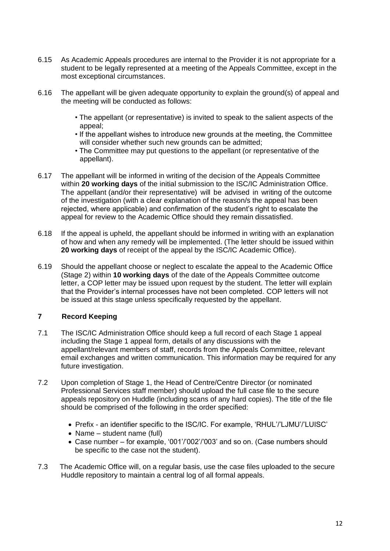- 6.15 As Academic Appeals procedures are internal to the Provider it is not appropriate for a student to be legally represented at a meeting of the Appeals Committee, except in the most exceptional circumstances.
- 6.16 The appellant will be given adequate opportunity to explain the ground(s) of appeal and the meeting will be conducted as follows:
	- The appellant (or representative) is invited to speak to the salient aspects of the appeal;
	- If the appellant wishes to introduce new grounds at the meeting, the Committee will consider whether such new grounds can be admitted;
	- The Committee may put questions to the appellant (or representative of the appellant).
- 6.17 The appellant will be informed in writing of the decision of the Appeals Committee within **20 working days** of the initial submission to the ISC/IC Administration Office. The appellant (and/or their representative) will be advised in writing of the outcome of the investigation (with a clear explanation of the reason/s the appeal has been rejected, where applicable) and confirmation of the student's right to escalate the appeal for review to the Academic Office should they remain dissatisfied.
- 6.18 If the appeal is upheld, the appellant should be informed in writing with an explanation of how and when any remedy will be implemented. (The letter should be issued within **20 working days** of receipt of the appeal by the ISC/IC Academic Office).
- 6.19 Should the appellant choose or neglect to escalate the appeal to the Academic Office (Stage 2) within **10 working days** of the date of the Appeals Committee outcome letter, a COP letter may be issued upon request by the student. The letter will explain that the Provider's internal processes have not been completed. COP letters will not be issued at this stage unless specifically requested by the appellant.

# <span id="page-11-0"></span>**7 Record Keeping**

- 7.1 The ISC/IC Administration Office should keep a full record of each Stage 1 appeal including the Stage 1 appeal form, details of any discussions with the appellant/relevant members of staff, records from the Appeals Committee, relevant email exchanges and written communication. This information may be required for any future investigation.
- 7.2 Upon completion of Stage 1, the Head of Centre/Centre Director (or nominated Professional Services staff member) should upload the full case file to the secure appeals repository on Huddle (including scans of any hard copies). The title of the file should be comprised of the following in the order specified:
	- Prefix an identifier specific to the ISC/IC. For example, 'RHUL'/'LJMU'/'LUISC'
	- Name student name (full)
	- Case number for example, '001'/'002'/'003' and so on. (Case numbers should be specific to the case not the student).
- 7.3 The Academic Office will, on a regular basis, use the case files uploaded to the secure Huddle repository to maintain a central log of all formal appeals.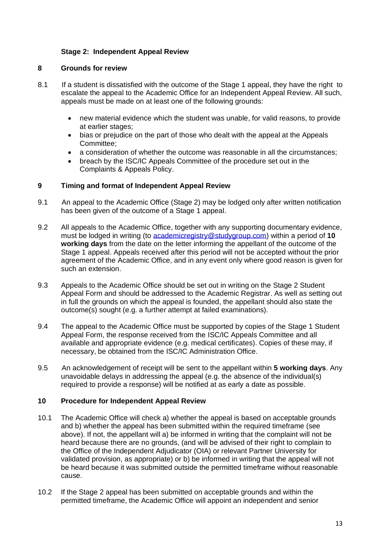### <span id="page-12-1"></span><span id="page-12-0"></span>**Stage 2: Independent Appeal Review**

#### **8 Grounds for review**

- 8.1 If a student is dissatisfied with the outcome of the Stage 1 appeal, they have the right to escalate the appeal to the Academic Office for an Independent Appeal Review. All such, appeals must be made on at least one of the following grounds:
	- new material evidence which the student was unable, for valid reasons, to provide at earlier stages;
	- bias or prejudice on the part of those who dealt with the appeal at the Appeals Committee;
	- a consideration of whether the outcome was reasonable in all the circumstances;
	- breach by the ISC/IC Appeals Committee of the procedure set out in the Complaints & Appeals Policy.

#### <span id="page-12-2"></span>**9 Timing and format of Independent Appeal Review**

- 9.1 An appeal to the Academic Office (Stage 2) may be lodged only after written notification has been given of the outcome of a Stage 1 appeal.
- 9.2 All appeals to the Academic Office, together with any supporting documentary evidence, must be lodged in writing (to [academicregistry@studygroup.com\)](mailto:academicregistry@studygroup.com) within a period of **10 working days** from the date on the letter informing the appellant of the outcome of the Stage 1 appeal. Appeals received after this period will not be accepted without the prior agreement of the Academic Office, and in any event only where good reason is given for such an extension.
- 9.3 Appeals to the Academic Office should be set out in writing on the Stage 2 Student Appeal Form and should be addressed to the Academic Registrar. As well as setting out in full the grounds on which the appeal is founded, the appellant should also state the outcome(s) sought (e.g. a further attempt at failed examinations).
- 9.4 The appeal to the Academic Office must be supported by copies of the Stage 1 Student Appeal Form, the response received from the ISC/IC Appeals Committee and all available and appropriate evidence (e.g. medical certificates). Copies of these may, if necessary, be obtained from the ISC/IC Administration Office.
- 9.5 An acknowledgement of receipt will be sent to the appellant within **5 working days**. Any unavoidable delays in addressing the appeal (e.g. the absence of the individual(s) required to provide a response) will be notified at as early a date as possible.

#### <span id="page-12-3"></span>**10 Procedure for Independent Appeal Review**

- 10.1 The Academic Office will check a) whether the appeal is based on acceptable grounds and b) whether the appeal has been submitted within the required timeframe (see above). If not, the appellant will a) be informed in writing that the complaint will not be heard because there are no grounds, (and will be advised of their right to complain to the Office of the Independent Adjudicator (OIA) or relevant Partner University for validated provision, as appropriate) or b) be informed in writing that the appeal will not be heard because it was submitted outside the permitted timeframe without reasonable cause.
- 10.2 If the Stage 2 appeal has been submitted on acceptable grounds and within the permitted timeframe, the Academic Office will appoint an independent and senior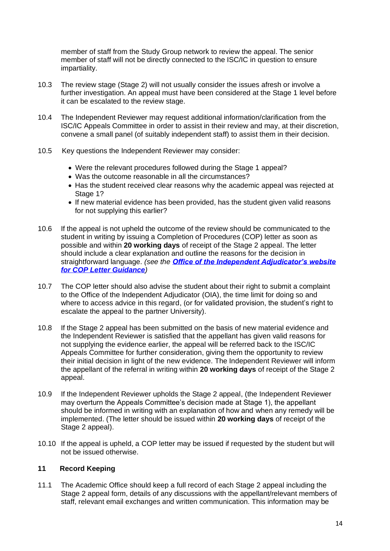member of staff from the Study Group network to review the appeal. The senior member of staff will not be directly connected to the ISC/IC in question to ensure impartiality.

- 10.3 The review stage (Stage 2) will not usually consider the issues afresh or involve a further investigation. An appeal must have been considered at the Stage 1 level before it can be escalated to the review stage.
- 10.4 The Independent Reviewer may request additional information/clarification from the ISC/IC Appeals Committee in order to assist in their review and may, at their discretion, convene a small panel (of suitably independent staff) to assist them in their decision.
- 10.5 Key questions the Independent Reviewer may consider:
	- Were the relevant procedures followed during the Stage 1 appeal?
	- Was the outcome reasonable in all the circumstances?
	- Has the student received clear reasons why the academic appeal was rejected at Stage 1?
	- If new material evidence has been provided, has the student given valid reasons for not supplying this earlier?
- 10.6 If the appeal is not upheld the outcome of the review should be communicated to the student in writing by issuing a Completion of Procedures (COP) letter as soon as possible and within **20 working days** of receipt of the Stage 2 appeal. The letter should include a clear explanation and outline the reasons for the decision in straightforward language. *(see the [Office of the Independent Adjudicator's website](https://www.oiahe.org.uk/providers/completion-of-procedures-letters/)  [for COP Letter Guidance](https://www.oiahe.org.uk/providers/completion-of-procedures-letters/))*
- 10.7 The COP letter should also advise the student about their right to submit a complaint to the Office of the Independent Adjudicator (OIA), the time limit for doing so and where to access advice in this regard, (or for validated provision, the student's right to escalate the appeal to the partner University).
- 10.8 If the Stage 2 appeal has been submitted on the basis of new material evidence and the Independent Reviewer is satisfied that the appellant has given valid reasons for not supplying the evidence earlier, the appeal will be referred back to the ISC/IC Appeals Committee for further consideration, giving them the opportunity to review their initial decision in light of the new evidence. The Independent Reviewer will inform the appellant of the referral in writing within **20 working days** of receipt of the Stage 2 appeal.
- 10.9 If the Independent Reviewer upholds the Stage 2 appeal, (the Independent Reviewer may overturn the Appeals Committee's decision made at Stage 1), the appellant should be informed in writing with an explanation of how and when any remedy will be implemented. (The letter should be issued within **20 working days** of receipt of the Stage 2 appeal).
- 10.10 If the appeal is upheld, a COP letter may be issued if requested by the student but will not be issued otherwise.

# <span id="page-13-0"></span>**11 Record Keeping**

11.1 The Academic Office should keep a full record of each Stage 2 appeal including the Stage 2 appeal form, details of any discussions with the appellant/relevant members of staff, relevant email exchanges and written communication. This information may be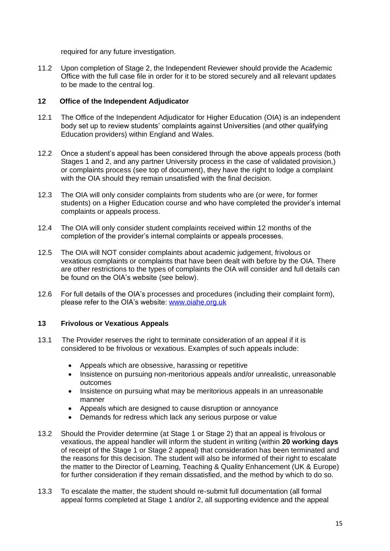required for any future investigation.

11.2 Upon completion of Stage 2, the Independent Reviewer should provide the Academic Office with the full case file in order for it to be stored securely and all relevant updates to be made to the central log.

#### <span id="page-14-0"></span>**12 Office of the Independent Adjudicator**

- 12.1 The Office of the Independent Adjudicator for Higher Education (OIA) is an independent body set up to review students' complaints against Universities (and other qualifying Education providers) within England and Wales.
- 12.2 Once a student's appeal has been considered through the above appeals process (both Stages 1 and 2, and any partner University process in the case of validated provision,) or complaints process (see top of document), they have the right to lodge a complaint with the OIA should they remain unsatisfied with the final decision.
- 12.3 The OIA will only consider complaints from students who are (or were, for former students) on a Higher Education course and who have completed the provider's internal complaints or appeals process.
- 12.4 The OIA will only consider student complaints received within 12 months of the completion of the provider's internal complaints or appeals processes.
- 12.5 The OIA will NOT consider complaints about academic judgement, frivolous or vexatious complaints or complaints that have been dealt with before by the OIA. There are other restrictions to the types of complaints the OIA will consider and full details can be found on the OIA's website (see below).
- 12.6 For full details of the OIA's processes and procedures (including their complaint form), please refer to the OIA's website: [www.oiahe.org.uk](http://www.oiahe.org.uk/)

#### <span id="page-14-1"></span>**13 Frivolous or Vexatious Appeals**

- 13.1 The Provider reserves the right to terminate consideration of an appeal if it is considered to be frivolous or vexatious. Examples of such appeals include:
	- Appeals which are obsessive, harassing or repetitive
	- Insistence on pursuing non-meritorious appeals and/or unrealistic, unreasonable outcomes
	- Insistence on pursuing what may be meritorious appeals in an unreasonable manner
	- Appeals which are designed to cause disruption or annoyance
	- Demands for redress which lack any serious purpose or value
- 13.2 Should the Provider determine (at Stage 1 or Stage 2) that an appeal is frivolous or vexatious, the appeal handler will inform the student in writing (within **20 working days** of receipt of the Stage 1 or Stage 2 appeal) that consideration has been terminated and the reasons for this decision. The student will also be informed of their right to escalate the matter to the Director of Learning, Teaching & Quality Enhancement (UK & Europe) for further consideration if they remain dissatisfied, and the method by which to do so.
- 13.3 To escalate the matter, the student should re-submit full documentation (all formal appeal forms completed at Stage 1 and/or 2, all supporting evidence and the appeal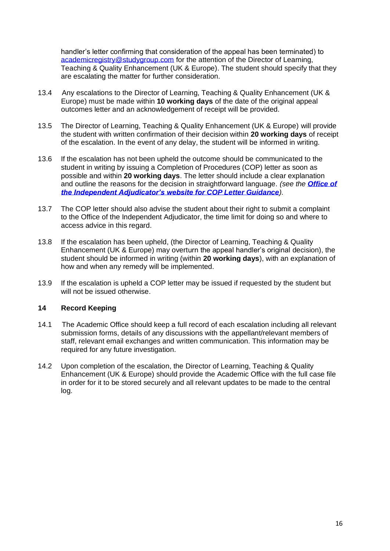handler's letter confirming that consideration of the appeal has been terminated) to [academicregistry@studygroup.com](mailto:academicregistry@studygroup.com) for the attention of the Director of Learning, Teaching & Quality Enhancement (UK & Europe). The student should specify that they are escalating the matter for further consideration.

- 13.4 Any escalations to the Director of Learning, Teaching & Quality Enhancement (UK & Europe) must be made within **10 working days** of the date of the original appeal outcomes letter and an acknowledgement of receipt will be provided.
- 13.5 The Director of Learning, Teaching & Quality Enhancement (UK & Europe) will provide the student with written confirmation of their decision within **20 working days** of receipt of the escalation. In the event of any delay, the student will be informed in writing.
- 13.6 If the escalation has not been upheld the outcome should be communicated to the student in writing by issuing a Completion of Procedures (COP) letter as soon as possible and within **20 working days**. The letter should include a clear explanation and outline the reasons for the decision in straightforward language. *(see the [Office of](https://www.oiahe.org.uk/providers/completion-of-procedures-letters/)  [the Independent Adjudicator's website for COP Letter Guidance](https://www.oiahe.org.uk/providers/completion-of-procedures-letters/)).*
- 13.7 The COP letter should also advise the student about their right to submit a complaint to the Office of the Independent Adjudicator, the time limit for doing so and where to access advice in this regard.
- 13.8 If the escalation has been upheld, (the Director of Learning, Teaching & Quality Enhancement (UK & Europe) may overturn the appeal handler's original decision), the student should be informed in writing (within **20 working days**), with an explanation of how and when any remedy will be implemented.
- 13.9 If the escalation is upheld a COP letter may be issued if requested by the student but will not be issued otherwise

#### <span id="page-15-0"></span>**14 Record Keeping**

- 14.1 The Academic Office should keep a full record of each escalation including all relevant submission forms, details of any discussions with the appellant/relevant members of staff, relevant email exchanges and written communication. This information may be required for any future investigation.
- <span id="page-15-1"></span>14.2 Upon completion of the escalation, the Director of Learning, Teaching & Quality Enhancement (UK & Europe) should provide the Academic Office with the full case file in order for it to be stored securely and all relevant updates to be made to the central log.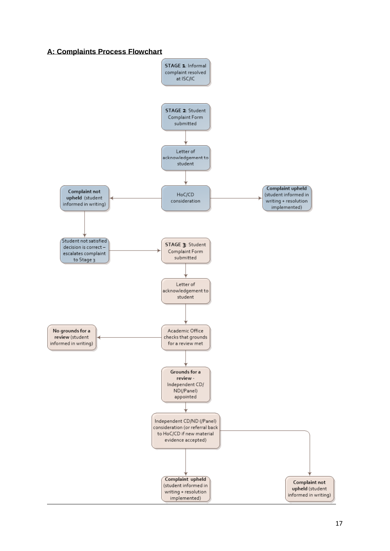## **A: Complaints Process Flowchart**

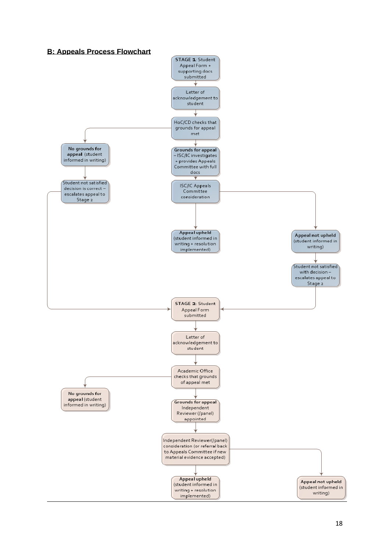<span id="page-17-0"></span>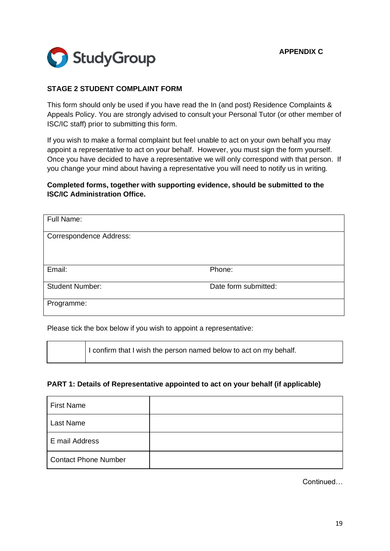

# <span id="page-18-0"></span>**STAGE 2 STUDENT COMPLAINT FORM**

This form should only be used if you have read the In (and post) Residence Complaints & Appeals Policy. You are strongly advised to consult your Personal Tutor (or other member of ISC/IC staff) prior to submitting this form.

If you wish to make a formal complaint but feel unable to act on your own behalf you may appoint a representative to act on your behalf. However, you must sign the form yourself. Once you have decided to have a representative we will only correspond with that person. If you change your mind about having a representative you will need to notify us in writing.

## **Completed forms, together with supporting evidence, should be submitted to the ISC/IC Administration Office.**

| Full Name:                     |                      |
|--------------------------------|----------------------|
| <b>Correspondence Address:</b> |                      |
|                                |                      |
| Email:                         | Phone:               |
| <b>Student Number:</b>         | Date form submitted: |
| Programme:                     |                      |

Please tick the box below if you wish to appoint a representative:

I confirm that I wish the person named below to act on my behalf.

#### **PART 1: Details of Representative appointed to act on your behalf (if applicable)**

| <b>First Name</b>           |  |
|-----------------------------|--|
| Last Name                   |  |
| E mail Address              |  |
| <b>Contact Phone Number</b> |  |

**Continued**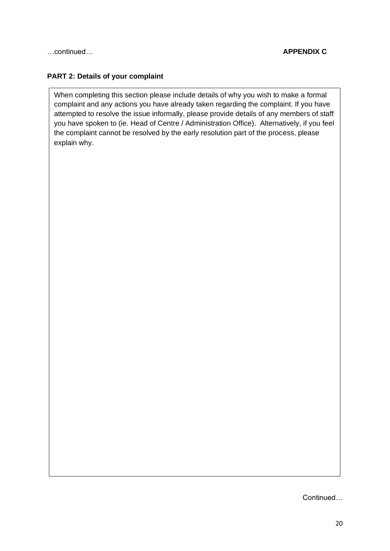# **PART 2: Details of your complaint**

When completing this section please include details of why you wish to make a formal complaint and any actions you have already taken regarding the complaint. If you have attempted to resolve the issue informally, please provide details of any members of staff you have spoken to (ie. Head of Centre / Administration Office). Alternatively, if you feel the complaint cannot be resolved by the early resolution part of the process, please explain why.

Continued…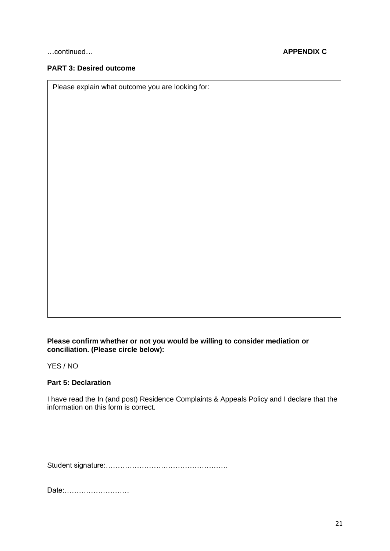## **PART 3: Desired outcome**

Please explain what outcome you are looking for:

#### **Please confirm whether or not you would be willing to consider mediation or conciliation. (Please circle below):**

YES / NO

#### **Part 5: Declaration**

I have read the In (and post) Residence Complaints & Appeals Policy and I declare that the information on this form is correct.

Student signature:……………………………………………

Date:………………………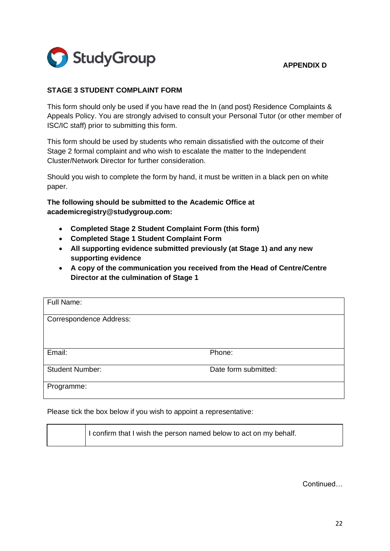

# <span id="page-21-0"></span>**APPENDIX D**

# **STAGE 3 STUDENT COMPLAINT FORM**

This form should only be used if you have read the In (and post) Residence Complaints & Appeals Policy. You are strongly advised to consult your Personal Tutor (or other member of ISC/IC staff) prior to submitting this form.

This form should be used by students who remain dissatisfied with the outcome of their Stage 2 formal complaint and who wish to escalate the matter to the Independent Cluster/Network Director for further consideration.

Should you wish to complete the form by hand, it must be written in a black pen on white paper.

**The following should be submitted to the Academic Office at academicregistry@studygroup.com:**

- **Completed Stage 2 Student Complaint Form (this form)**
- **Completed Stage 1 Student Complaint Form**
- **All supporting evidence submitted previously (at Stage 1) and any new supporting evidence**
- **A copy of the communication you received from the Head of Centre/Centre Director at the culmination of Stage 1**

| Full Name:                     |                      |
|--------------------------------|----------------------|
| <b>Correspondence Address:</b> |                      |
|                                |                      |
|                                |                      |
| Email:                         | Phone:               |
| <b>Student Number:</b>         | Date form submitted: |
| Programme:                     |                      |

Please tick the box below if you wish to appoint a representative:

| I confirm that I wish the person named below to act on my behalf. |
|-------------------------------------------------------------------|
|                                                                   |

**Continued**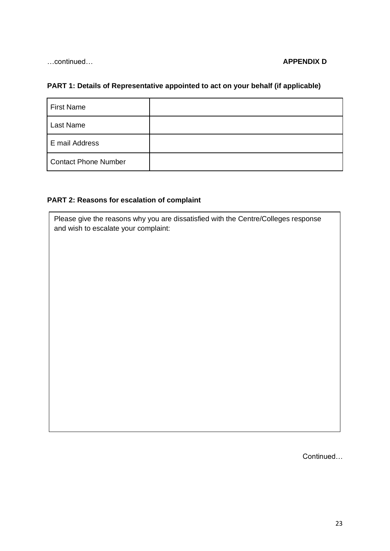#### …continued… **APPENDIX D**

# **PART 1: Details of Representative appointed to act on your behalf (if applicable)**

| <b>First Name</b>           |  |
|-----------------------------|--|
| Last Name                   |  |
| E mail Address              |  |
| <b>Contact Phone Number</b> |  |

# **PART 2: Reasons for escalation of complaint**

Please give the reasons why you are dissatisfied with the Centre/Colleges response and wish to escalate your complaint:

Continued…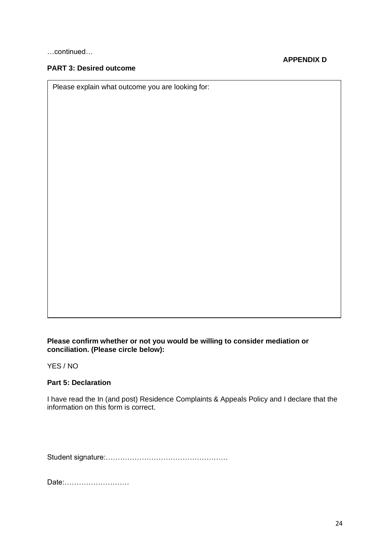…continued…

# **PART 3: Desired outcome**

**APPENDIX D**

Please explain what outcome you are looking for:

#### **Please confirm whether or not you would be willing to consider mediation or conciliation. (Please circle below):**

YES / NO

#### **Part 5: Declaration**

I have read the In (and post) Residence Complaints & Appeals Policy and I declare that the information on this form is correct.

Student signature:……………………………………………

Date:………………………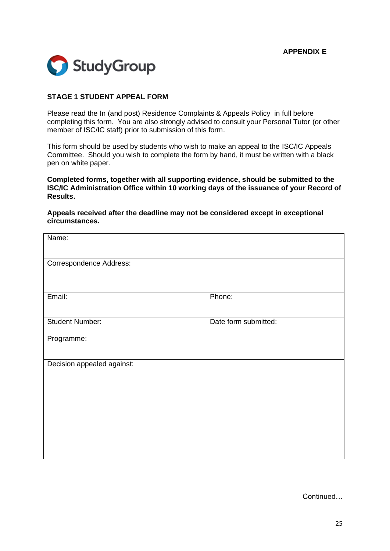

#### <span id="page-24-0"></span>**STAGE 1 STUDENT APPEAL FORM**

Please read the In (and post) Residence Complaints & Appeals Policy in full before completing this form. You are also strongly advised to consult your Personal Tutor (or other member of ISC/IC staff) prior to submission of this form.

This form should be used by students who wish to make an appeal to the ISC/IC Appeals Committee. Should you wish to complete the form by hand, it must be written with a black pen on white paper.

**Completed forms, together with all supporting evidence, should be submitted to the ISC/IC Administration Office within 10 working days of the issuance of your Record of Results.**

#### **Appeals received after the deadline may not be considered except in exceptional circumstances.**

| Name:                      |                      |
|----------------------------|----------------------|
| Correspondence Address:    |                      |
| Email:                     | Phone:               |
| <b>Student Number:</b>     | Date form submitted: |
| Programme:                 |                      |
| Decision appealed against: |                      |

Continued…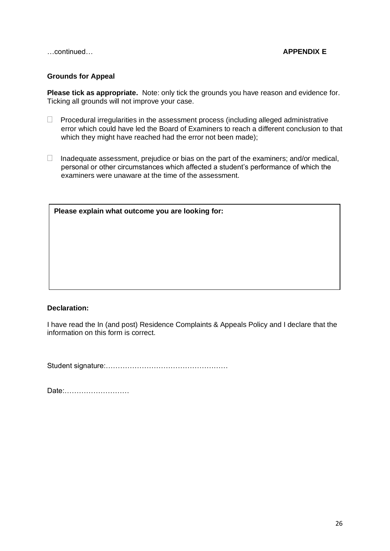…continued… **APPENDIX E**

#### **Grounds for Appeal**

**Please tick as appropriate.** Note: only tick the grounds you have reason and evidence for. Ticking all grounds will not improve your case.

- $\Box$  Procedural irregularities in the assessment process (including alleged administrative error which could have led the Board of Examiners to reach a different conclusion to that which they might have reached had the error not been made);
- $\Box$  Inadequate assessment, prejudice or bias on the part of the examiners; and/or medical, personal or other circumstances which affected a student's performance of which the examiners were unaware at the time of the assessment.

| Please explain what outcome you are looking for: |  |  |
|--------------------------------------------------|--|--|
|                                                  |  |  |
|                                                  |  |  |
|                                                  |  |  |
|                                                  |  |  |
|                                                  |  |  |

#### **Declaration:**

I have read the In (and post) Residence Complaints & Appeals Policy and I declare that the information on this form is correct.

Student signature:……………………………………………

Date:………………………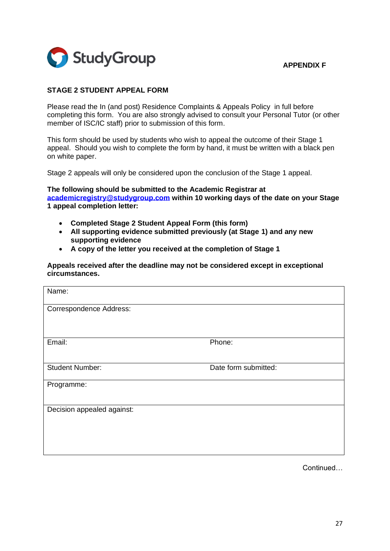

#### <span id="page-26-0"></span>**APPENDIX F**

#### **STAGE 2 STUDENT APPEAL FORM**

Please read the In (and post) Residence Complaints & Appeals Policy in full before completing this form. You are also strongly advised to consult your Personal Tutor (or other member of ISC/IC staff) prior to submission of this form.

This form should be used by students who wish to appeal the outcome of their Stage 1 appeal. Should you wish to complete the form by hand, it must be written with a black pen on white paper.

Stage 2 appeals will only be considered upon the conclusion of the Stage 1 appeal.

**The following should be submitted to the Academic Registrar at [academicregistry@studygroup.com](mailto:ukiscregistry@studygroup.com) within 10 working days of the date on your Stage 1 appeal completion letter:**

- **Completed Stage 2 Student Appeal Form (this form)**
- **All supporting evidence submitted previously (at Stage 1) and any new supporting evidence**
- **A copy of the letter you received at the completion of Stage 1**

**Appeals received after the deadline may not be considered except in exceptional circumstances.**

| Name:                          |                      |  |
|--------------------------------|----------------------|--|
| <b>Correspondence Address:</b> |                      |  |
|                                |                      |  |
| Email:                         | Phone:               |  |
|                                |                      |  |
| <b>Student Number:</b>         | Date form submitted: |  |
| Programme:                     |                      |  |
|                                |                      |  |
| Decision appealed against:     |                      |  |
|                                |                      |  |
|                                |                      |  |
|                                |                      |  |

Continued…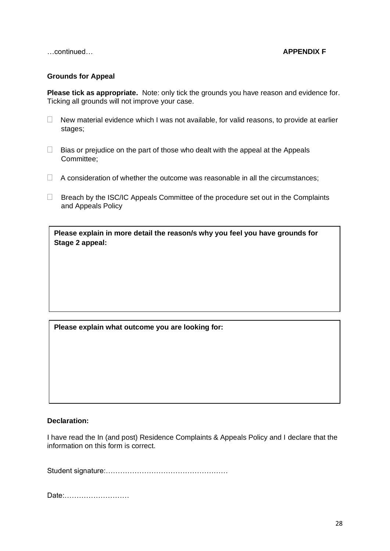…continued… **APPENDIX F**

#### **Grounds for Appeal**

**Please tick as appropriate.** Note: only tick the grounds you have reason and evidence for. Ticking all grounds will not improve your case.

- $\Box$  New material evidence which I was not available, for valid reasons, to provide at earlier stages;
- $\Box$  Bias or prejudice on the part of those who dealt with the appeal at the Appeals Committee;
- $\Box$  A consideration of whether the outcome was reasonable in all the circumstances;
- $\Box$  Breach by the ISC/IC Appeals Committee of the procedure set out in the Complaints and Appeals Policy

**Please explain in more detail the reason/s why you feel you have grounds for Stage 2 appeal:**

#### **Please explain what outcome you are looking for:**

#### **Declaration:**

I have read the In (and post) Residence Complaints & Appeals Policy and I declare that the information on this form is correct.

Student signature:……………………………………………

Date:………………………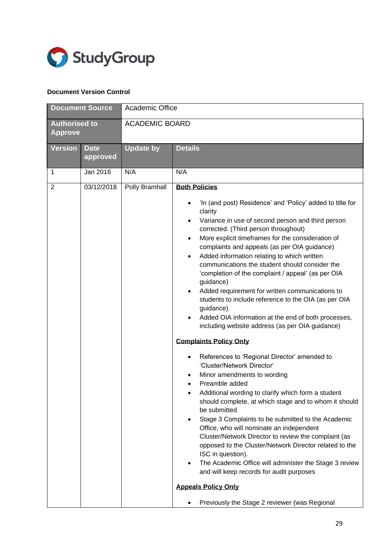

#### **Document Version Control**

|                                        | <b>Document Source</b>  | Academic Office       |                                                                                                                                                                                                                                                                                                                                                                                                                                                                                                                                                                                                                                                                                                                                                                                                                                                                                                                                                                                                                                                                                                                                                                                                                                                                                                                                                                                  |
|----------------------------------------|-------------------------|-----------------------|----------------------------------------------------------------------------------------------------------------------------------------------------------------------------------------------------------------------------------------------------------------------------------------------------------------------------------------------------------------------------------------------------------------------------------------------------------------------------------------------------------------------------------------------------------------------------------------------------------------------------------------------------------------------------------------------------------------------------------------------------------------------------------------------------------------------------------------------------------------------------------------------------------------------------------------------------------------------------------------------------------------------------------------------------------------------------------------------------------------------------------------------------------------------------------------------------------------------------------------------------------------------------------------------------------------------------------------------------------------------------------|
| <b>Authorised to</b><br><b>Approve</b> |                         | <b>ACADEMIC BOARD</b> |                                                                                                                                                                                                                                                                                                                                                                                                                                                                                                                                                                                                                                                                                                                                                                                                                                                                                                                                                                                                                                                                                                                                                                                                                                                                                                                                                                                  |
| <b>Version</b>                         | <b>Date</b><br>approved | <b>Update by</b>      | <b>Details</b>                                                                                                                                                                                                                                                                                                                                                                                                                                                                                                                                                                                                                                                                                                                                                                                                                                                                                                                                                                                                                                                                                                                                                                                                                                                                                                                                                                   |
| 1                                      | Jan 2016                | N/A                   | N/A                                                                                                                                                                                                                                                                                                                                                                                                                                                                                                                                                                                                                                                                                                                                                                                                                                                                                                                                                                                                                                                                                                                                                                                                                                                                                                                                                                              |
| $\overline{2}$                         | 03/12/2018              | Polly Bramhall        | <b>Both Policies</b><br>'In (and post) Residence' and 'Policy' added to title for<br>clarity<br>Variance in use of second person and third person<br>corrected. (Third person throughout)<br>More explicit timeframes for the consideration of<br>complaints and appeals (as per OIA guidance)<br>Added information relating to which written<br>communications the student should consider the<br>'completion of the complaint / appeal' (as per OIA<br>guidance)<br>Added requirement for written communications to<br>students to include reference to the OIA (as per OIA<br>guidance)<br>Added OIA information at the end of both processes,<br>including website address (as per OIA guidance)<br><b>Complaints Policy Only</b><br>References to 'Regional Director' amended to<br>'Cluster/Network Director'<br>Minor amendments to wording<br>Preamble added<br>Additional wording to clarify which form a student<br>should complete, at which stage and to whom it should<br>be submitted<br>Stage 3 Complaints to be submitted to the Academic<br>Office, who will nominate an independent<br>Cluster/Network Director to review the complaint (as<br>opposed to the Cluster/Network Director related to the<br>ISC in question).<br>The Academic Office will administer the Stage 3 review<br>and will keep records for audit purposes<br><b>Appeals Policy Only</b> |
|                                        |                         |                       | Previously the Stage 2 reviewer (was Regional                                                                                                                                                                                                                                                                                                                                                                                                                                                                                                                                                                                                                                                                                                                                                                                                                                                                                                                                                                                                                                                                                                                                                                                                                                                                                                                                    |